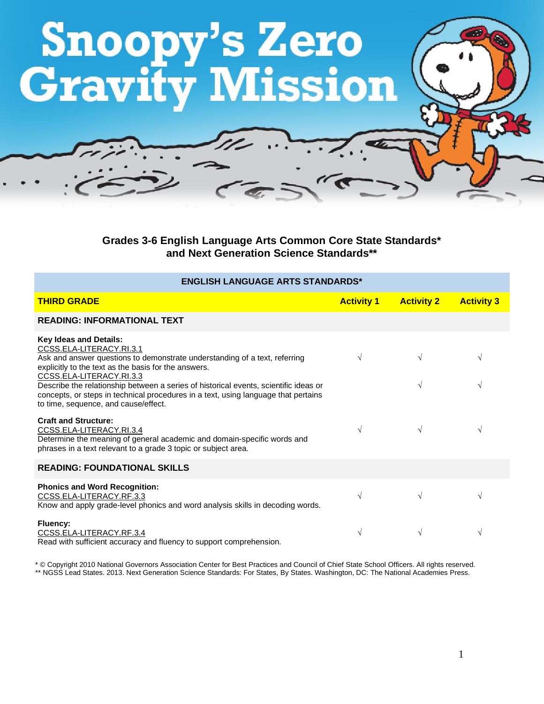

**Grades 3-6 English Language Arts Common Core State Standards\* and Next Generation Science Standards\*\***

| <b>ENGLISH LANGUAGE ARTS STANDARDS*</b>                                                                                                                                                                                                                                                                                                                                                                                                           |                   |                   |                   |
|---------------------------------------------------------------------------------------------------------------------------------------------------------------------------------------------------------------------------------------------------------------------------------------------------------------------------------------------------------------------------------------------------------------------------------------------------|-------------------|-------------------|-------------------|
| <b>THIRD GRADE</b>                                                                                                                                                                                                                                                                                                                                                                                                                                | <b>Activity 1</b> | <b>Activity 2</b> | <b>Activity 3</b> |
| <b>READING: INFORMATIONAL TEXT</b>                                                                                                                                                                                                                                                                                                                                                                                                                |                   |                   |                   |
| <b>Key Ideas and Details:</b><br>CCSS.ELA-LITERACY.RI.3.1<br>Ask and answer questions to demonstrate understanding of a text, referring<br>explicitly to the text as the basis for the answers.<br>CCSS.ELA-LITERACY.RI.3.3<br>Describe the relationship between a series of historical events, scientific ideas or<br>concepts, or steps in technical procedures in a text, using language that pertains<br>to time, sequence, and cause/effect. | $\sqrt{ }$        | V<br>$\sqrt{ }$   | N<br>$\sqrt{ }$   |
| <b>Craft and Structure:</b><br>CCSS.ELA-LITERACY.RI.3.4<br>Determine the meaning of general academic and domain-specific words and<br>phrases in a text relevant to a grade 3 topic or subject area.                                                                                                                                                                                                                                              | $\sqrt{ }$        | $\sqrt{}$         | V                 |
| <b>READING: FOUNDATIONAL SKILLS</b>                                                                                                                                                                                                                                                                                                                                                                                                               |                   |                   |                   |
| <b>Phonics and Word Recognition:</b><br>CCSS.ELA-LITERACY.RF.3.3<br>Know and apply grade-level phonics and word analysis skills in decoding words.                                                                                                                                                                                                                                                                                                | $\sqrt{ }$        | V                 | $\sqrt{ }$        |
| Fluency:<br>CCSS.ELA-LITERACY.RF.3.4<br>Read with sufficient accuracy and fluency to support comprehension.                                                                                                                                                                                                                                                                                                                                       | $\sqrt{ }$        | $\sqrt{}$         | V                 |

\* © Copyright 2010 National Governors Association Center for Best Practices and Council of Chief State School Officers. All rights reserved. \*\* NGSS Lead States. 2013. Next Generation Science Standards: For States, By States. Washington, DC: The National Academies Press.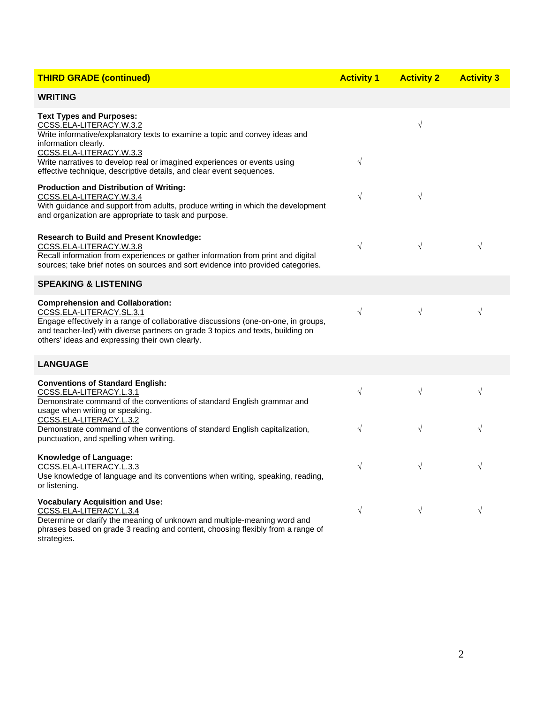| <b>THIRD GRADE (continued)</b>                                                                                                                                                                                                                                                                  | <b>Activity 1</b> | <b>Activity 2</b> | <b>Activity 3</b> |
|-------------------------------------------------------------------------------------------------------------------------------------------------------------------------------------------------------------------------------------------------------------------------------------------------|-------------------|-------------------|-------------------|
| <b>WRITING</b>                                                                                                                                                                                                                                                                                  |                   |                   |                   |
| <b>Text Types and Purposes:</b><br>CCSS.ELA-LITERACY.W.3.2<br>Write informative/explanatory texts to examine a topic and convey ideas and<br>information clearly.<br>CCSS.ELA-LITERACY.W.3.3<br>Write narratives to develop real or imagined experiences or events using                        | $\sqrt{}$         | $\sqrt{}$         |                   |
| effective technique, descriptive details, and clear event sequences.<br><b>Production and Distribution of Writing:</b><br>CCSS.ELA-LITERACY.W.3.4<br>With guidance and support from adults, produce writing in which the development<br>and organization are appropriate to task and purpose.   | $\sqrt{}$         | $\sqrt{}$         |                   |
| <b>Research to Build and Present Knowledge:</b><br>CCSS.ELA-LITERACY.W.3.8<br>Recall information from experiences or gather information from print and digital<br>sources; take brief notes on sources and sort evidence into provided categories.                                              | $\sqrt{}$         | $\sqrt{}$         | $\sqrt{}$         |
| <b>SPEAKING &amp; LISTENING</b>                                                                                                                                                                                                                                                                 |                   |                   |                   |
| <b>Comprehension and Collaboration:</b><br>CCSS.ELA-LITERACY.SL.3.1<br>Engage effectively in a range of collaborative discussions (one-on-one, in groups,<br>and teacher-led) with diverse partners on grade 3 topics and texts, building on<br>others' ideas and expressing their own clearly. | $\sqrt{}$         | $\sqrt{ }$        | $\sqrt{}$         |
| <b>LANGUAGE</b>                                                                                                                                                                                                                                                                                 |                   |                   |                   |
| <b>Conventions of Standard English:</b><br>CCSS.ELA-LITERACY.L.3.1<br>Demonstrate command of the conventions of standard English grammar and<br>usage when writing or speaking.                                                                                                                 | $\sqrt{}$         | $\sqrt{}$         | V                 |
| CCSS.ELA-LITERACY.L.3.2<br>Demonstrate command of the conventions of standard English capitalization,<br>punctuation, and spelling when writing.                                                                                                                                                | $\sqrt{}$         | $\sqrt{}$         | $\sqrt{}$         |
| Knowledge of Language:<br>CCSS.ELA-LITERACY.L.3.3<br>Use knowledge of language and its conventions when writing, speaking, reading,<br>or listening.                                                                                                                                            | $\sqrt{}$         | $\sqrt{}$         | V                 |
| <b>Vocabulary Acquisition and Use:</b><br>CCSS.ELA-LITERACY.L.3.4<br>Determine or clarify the meaning of unknown and multiple-meaning word and<br>phrases based on grade 3 reading and content, choosing flexibly from a range of<br>strategies.                                                | $\sqrt{}$         | $\sqrt{ }$        | $\sqrt{}$         |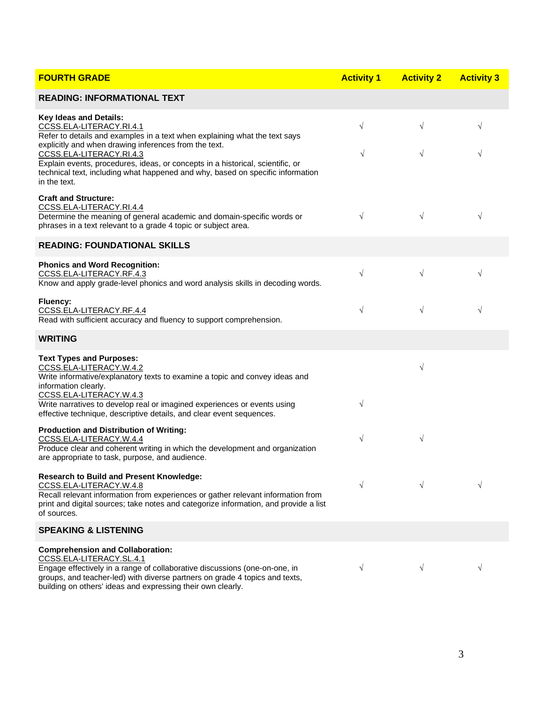| <b>FOURTH GRADE</b>                                                                                                                                                                                                                                                                             | <b>Activity 1</b> | <b>Activity 2</b> | <b>Activity 3</b> |
|-------------------------------------------------------------------------------------------------------------------------------------------------------------------------------------------------------------------------------------------------------------------------------------------------|-------------------|-------------------|-------------------|
| <b>READING: INFORMATIONAL TEXT</b>                                                                                                                                                                                                                                                              |                   |                   |                   |
| <b>Key Ideas and Details:</b><br>CCSS.ELA-LITERACY.RI.4.1<br>Refer to details and examples in a text when explaining what the text says                                                                                                                                                         | $\sqrt{}$         | $\sqrt{}$         | $\sqrt{}$         |
| explicitly and when drawing inferences from the text.<br>CCSS.ELA-LITERACY.RI.4.3<br>Explain events, procedures, ideas, or concepts in a historical, scientific, or<br>technical text, including what happened and why, based on specific information<br>in the text.                           | $\sqrt{}$         | $\sqrt{}$         | $\sqrt{}$         |
| <b>Craft and Structure:</b><br>CCSS.ELA-LITERACY.RI.4.4<br>Determine the meaning of general academic and domain-specific words or<br>phrases in a text relevant to a grade 4 topic or subject area.                                                                                             | $\sqrt{}$         | $\sqrt{}$         | $\sqrt{ }$        |
| <b>READING: FOUNDATIONAL SKILLS</b>                                                                                                                                                                                                                                                             |                   |                   |                   |
| <b>Phonics and Word Recognition:</b><br>CCSS.ELA-LITERACY.RF.4.3<br>Know and apply grade-level phonics and word analysis skills in decoding words.                                                                                                                                              | $\sqrt{}$         | $\sqrt{}$         | $\sqrt{}$         |
| <b>Fluency:</b><br>CCSS.ELA-LITERACY.RF.4.4<br>Read with sufficient accuracy and fluency to support comprehension.                                                                                                                                                                              | $\sqrt{}$         | $\sqrt{}$         | $\sqrt{ }$        |
| <b>WRITING</b>                                                                                                                                                                                                                                                                                  |                   |                   |                   |
| <b>Text Types and Purposes:</b><br>CCSS.ELA-LITERACY.W.4.2<br>Write informative/explanatory texts to examine a topic and convey ideas and<br>information clearly.                                                                                                                               |                   | $\sqrt{}$         |                   |
| CCSS.ELA-LITERACY.W.4.3<br>Write narratives to develop real or imagined experiences or events using<br>effective technique, descriptive details, and clear event sequences.                                                                                                                     | $\sqrt{}$         |                   |                   |
| <b>Production and Distribution of Writing:</b><br>CCSS.ELA-LITERACY.W.4.4<br>Produce clear and coherent writing in which the development and organization<br>are appropriate to task, purpose, and audience.                                                                                    | $\sqrt{}$         | $\sqrt{}$         |                   |
| <b>Research to Build and Present Knowledge:</b><br>CCSS.ELA-LITERACY.W.4.8<br>Recall relevant information from experiences or gather relevant information from<br>print and digital sources; take notes and categorize information, and provide a list<br>of sources.                           | $\sqrt{}$         | $\sqrt{ }$        | $\sqrt{}$         |
| <b>SPEAKING &amp; LISTENING</b>                                                                                                                                                                                                                                                                 |                   |                   |                   |
| <b>Comprehension and Collaboration:</b><br>CCSS.ELA-LITERACY.SL.4.1<br>Engage effectively in a range of collaborative discussions (one-on-one, in<br>groups, and teacher-led) with diverse partners on grade 4 topics and texts,<br>building on others' ideas and expressing their own clearly. | $\sqrt{ }$        | $\sqrt{}$         | V                 |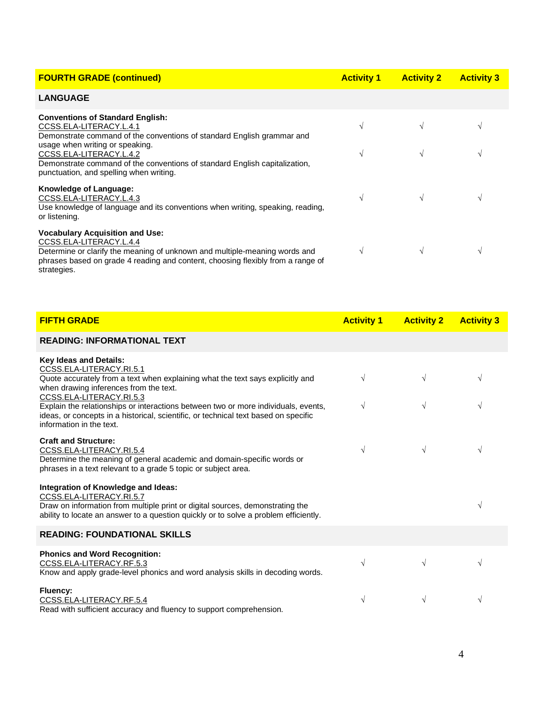| <b>FOURTH GRADE (continued)</b>                                                                                                                                                                                                                                                                                                     | <b>Activity 1</b>  | <b>Activity 2</b> | <b>Activity 3</b> |
|-------------------------------------------------------------------------------------------------------------------------------------------------------------------------------------------------------------------------------------------------------------------------------------------------------------------------------------|--------------------|-------------------|-------------------|
| <b>LANGUAGE</b>                                                                                                                                                                                                                                                                                                                     |                    |                   |                   |
| <b>Conventions of Standard English:</b><br>CCSS.ELA-LITERACY.L.4.1<br>Demonstrate command of the conventions of standard English grammar and<br>usage when writing or speaking.<br>CCSS.ELA-LITERACY.L.4.2<br>Demonstrate command of the conventions of standard English capitalization,<br>punctuation, and spelling when writing. | V<br>$\mathcal{N}$ |                   |                   |
| Knowledge of Language:<br>CCSS.ELA-LITERACY.L.4.3<br>Use knowledge of language and its conventions when writing, speaking, reading,<br>or listening.                                                                                                                                                                                | $\sqrt{ }$         |                   |                   |
| <b>Vocabulary Acquisition and Use:</b><br>CCSS.ELA-LITERACY.L.4.4<br>Determine or clarify the meaning of unknown and multiple-meaning words and<br>phrases based on grade 4 reading and content, choosing flexibly from a range of<br>strategies.                                                                                   | V                  |                   |                   |

| <b>FIFTH GRADE</b>                                                                                                                                                                                                                                                                                                                                                                                                  | <b>Activity 1</b>        | <b>Activity 2</b>      | <b>Activity 3</b>      |
|---------------------------------------------------------------------------------------------------------------------------------------------------------------------------------------------------------------------------------------------------------------------------------------------------------------------------------------------------------------------------------------------------------------------|--------------------------|------------------------|------------------------|
| <b>READING: INFORMATIONAL TEXT</b>                                                                                                                                                                                                                                                                                                                                                                                  |                          |                        |                        |
| Key Ideas and Details:<br>CCSS.ELA-LITERACY.RI.5.1<br>Quote accurately from a text when explaining what the text says explicitly and<br>when drawing inferences from the text.<br>CCSS.ELA-LITERACY.RI.5.3<br>Explain the relationships or interactions between two or more individuals, events,<br>ideas, or concepts in a historical, scientific, or technical text based on specific<br>information in the text. | $\sqrt{ }$<br>$\sqrt{ }$ | $\sqrt{}$<br>$\sqrt{}$ | $\sqrt{}$<br>$\sqrt{}$ |
| <b>Craft and Structure:</b><br>CCSS.ELA-LITERACY.RI.5.4<br>Determine the meaning of general academic and domain-specific words or<br>phrases in a text relevant to a grade 5 topic or subject area.                                                                                                                                                                                                                 | $\sqrt{ }$               | $\sqrt{}$              | V                      |
| Integration of Knowledge and Ideas:<br>CCSS.ELA-LITERACY.RI.5.7<br>Draw on information from multiple print or digital sources, demonstrating the<br>ability to locate an answer to a question quickly or to solve a problem efficiently.                                                                                                                                                                            |                          |                        | N                      |
| <b>READING: FOUNDATIONAL SKILLS</b>                                                                                                                                                                                                                                                                                                                                                                                 |                          |                        |                        |
| <b>Phonics and Word Recognition:</b><br>CCSS.ELA-LITERACY.RF.5.3<br>Know and apply grade-level phonics and word analysis skills in decoding words.                                                                                                                                                                                                                                                                  | $\sqrt{ }$               | $\sqrt{}$              | V                      |
| Fluency:<br>CCSS.ELA-LITERACY.RF.5.4<br>Read with sufficient accuracy and fluency to support comprehension.                                                                                                                                                                                                                                                                                                         | $\sqrt{}$                | V                      | $\sqrt{}$              |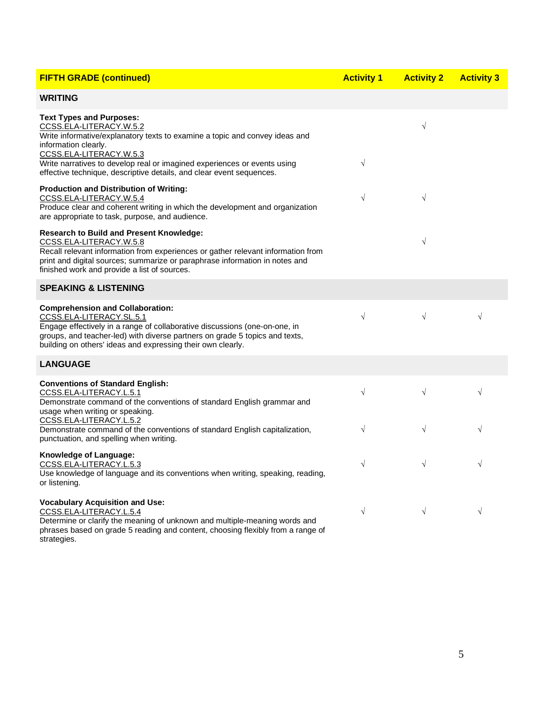| <b>FIFTH GRADE (continued)</b>                                                                                                                                                                                                                                                                                                                   | <b>Activity 1</b> | <b>Activity 2</b> | <b>Activity 3</b> |
|--------------------------------------------------------------------------------------------------------------------------------------------------------------------------------------------------------------------------------------------------------------------------------------------------------------------------------------------------|-------------------|-------------------|-------------------|
| <b>WRITING</b>                                                                                                                                                                                                                                                                                                                                   |                   |                   |                   |
| <b>Text Types and Purposes:</b><br>CCSS.ELA-LITERACY.W.5.2<br>Write informative/explanatory texts to examine a topic and convey ideas and<br>information clearly.<br>CCSS.ELA-LITERACY.W.5.3<br>Write narratives to develop real or imagined experiences or events using<br>effective technique, descriptive details, and clear event sequences. | $\sqrt{}$         | $\sqrt{}$         |                   |
| <b>Production and Distribution of Writing:</b><br>CCSS.ELA-LITERACY.W.5.4<br>Produce clear and coherent writing in which the development and organization<br>are appropriate to task, purpose, and audience.                                                                                                                                     | $\sqrt{}$         | $\sqrt{}$         |                   |
| <b>Research to Build and Present Knowledge:</b><br>CCSS.ELA-LITERACY.W.5.8<br>Recall relevant information from experiences or gather relevant information from<br>print and digital sources; summarize or paraphrase information in notes and<br>finished work and provide a list of sources.                                                    |                   | $\sqrt{}$         |                   |
| <b>SPEAKING &amp; LISTENING</b>                                                                                                                                                                                                                                                                                                                  |                   |                   |                   |
| <b>Comprehension and Collaboration:</b><br>CCSS.ELA-LITERACY.SL.5.1<br>Engage effectively in a range of collaborative discussions (one-on-one, in<br>groups, and teacher-led) with diverse partners on grade 5 topics and texts,<br>building on others' ideas and expressing their own clearly.                                                  | $\sqrt{ }$        | $\sqrt{}$         | $\sqrt{}$         |
| <b>LANGUAGE</b>                                                                                                                                                                                                                                                                                                                                  |                   |                   |                   |
| <b>Conventions of Standard English:</b><br>CCSS.ELA-LITERACY.L.5.1<br>Demonstrate command of the conventions of standard English grammar and<br>usage when writing or speaking.                                                                                                                                                                  | $\sqrt{}$         | $\sqrt{}$         | $\sqrt{}$         |
| CCSS.ELA-LITERACY.L.5.2<br>Demonstrate command of the conventions of standard English capitalization,<br>punctuation, and spelling when writing.                                                                                                                                                                                                 | $\sqrt{}$         | $\sqrt{}$         | $\sqrt{}$         |
| Knowledge of Language:<br>CCSS.ELA-LITERACY.L.5.3<br>Use knowledge of language and its conventions when writing, speaking, reading,<br>or listening.                                                                                                                                                                                             | $\sqrt{}$         | $\sqrt{}$         | $\sqrt{}$         |
| <b>Vocabulary Acquisition and Use:</b><br>CCSS.ELA-LITERACY.L.5.4<br>Determine or clarify the meaning of unknown and multiple-meaning words and<br>phrases based on grade 5 reading and content, choosing flexibly from a range of<br>strategies.                                                                                                | $\sqrt{}$         | $\sqrt{}$         | $\sqrt{}$         |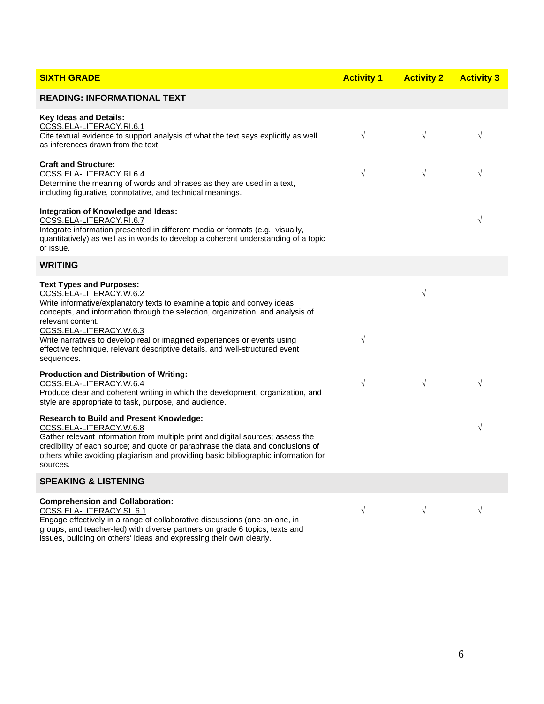| <b>SIXTH GRADE</b>                                                                                                                                                                                                                                                                                                                                                                                                                                 | <b>Activity 1</b> | <b>Activity 2</b> | <b>Activity 3</b> |
|----------------------------------------------------------------------------------------------------------------------------------------------------------------------------------------------------------------------------------------------------------------------------------------------------------------------------------------------------------------------------------------------------------------------------------------------------|-------------------|-------------------|-------------------|
| <b>READING: INFORMATIONAL TEXT</b>                                                                                                                                                                                                                                                                                                                                                                                                                 |                   |                   |                   |
| Key Ideas and Details:<br>CCSS.ELA-LITERACY.RI.6.1<br>Cite textual evidence to support analysis of what the text says explicitly as well<br>as inferences drawn from the text.                                                                                                                                                                                                                                                                     | $\sqrt{ }$        | $\sqrt{ }$        | $\sqrt{}$         |
| <b>Craft and Structure:</b><br>CCSS.ELA-LITERACY.RI.6.4<br>Determine the meaning of words and phrases as they are used in a text,<br>including figurative, connotative, and technical meanings.                                                                                                                                                                                                                                                    | $\sqrt{ }$        | $\sqrt{}$         | $\sqrt{}$         |
| Integration of Knowledge and Ideas:<br>CCSS.ELA-LITERACY.RI.6.7<br>Integrate information presented in different media or formats (e.g., visually,<br>quantitatively) as well as in words to develop a coherent understanding of a topic<br>or issue.                                                                                                                                                                                               |                   |                   | V                 |
| <b>WRITING</b>                                                                                                                                                                                                                                                                                                                                                                                                                                     |                   |                   |                   |
| <b>Text Types and Purposes:</b><br>CCSS.ELA-LITERACY.W.6.2<br>Write informative/explanatory texts to examine a topic and convey ideas,<br>concepts, and information through the selection, organization, and analysis of<br>relevant content.<br>CCSS.ELA-LITERACY.W.6.3<br>Write narratives to develop real or imagined experiences or events using<br>effective technique, relevant descriptive details, and well-structured event<br>sequences. | $\sqrt{}$         | $\sqrt{}$         |                   |
| <b>Production and Distribution of Writing:</b><br>CCSS.ELA-LITERACY.W.6.4<br>Produce clear and coherent writing in which the development, organization, and<br>style are appropriate to task, purpose, and audience.                                                                                                                                                                                                                               | $\sqrt{}$         | $\sqrt{}$         | $\sqrt{}$         |
| <b>Research to Build and Present Knowledge:</b><br>CCSS.ELA-LITERACY.W.6.8<br>Gather relevant information from multiple print and digital sources; assess the<br>credibility of each source; and quote or paraphrase the data and conclusions of<br>others while avoiding plagiarism and providing basic bibliographic information for<br>sources.                                                                                                 |                   |                   | $\sqrt{}$         |
| <b>SPEAKING &amp; LISTENING</b>                                                                                                                                                                                                                                                                                                                                                                                                                    |                   |                   |                   |
| <b>Comprehension and Collaboration:</b><br>CCSS.ELA-LITERACY.SL.6.1<br>Engage effectively in a range of collaborative discussions (one-on-one, in<br>groups, and teacher-led) with diverse partners on grade 6 topics, texts and<br>issues, building on others' ideas and expressing their own clearly.                                                                                                                                            | $\sqrt{ }$        | $\sqrt{}$         | $\sqrt{}$         |